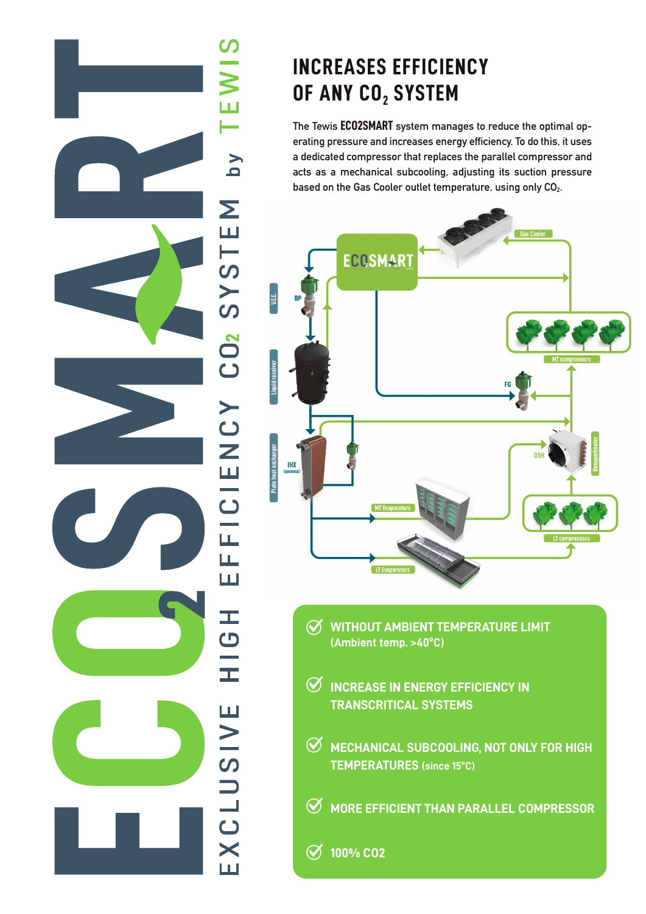## $\overline{V}$  q Σ SYSTE  $CD<sub>2</sub>$ FFICIENCY Щ HOH EXCLUSIVE

## **INCREASES EFFICIENCY OF ANY CO<sub>2</sub> SYSTEM**

**The Tewis ECO2SMART system manages to reduce the optimal operating pressure and increases energy efficiency. To do this, it uses a dedicated compressor that replaces the parallel compressor and acts as a mechanical subcooling, adjusting its suction pressure**  based on the Gas Cooler outlet temperature, using only CO<sub>2</sub>.



- **WITHOUT AMBIENT TEMPERATURE LIMIT (Ambient temp. >40ºC)**
- $\Theta$  INCREASE IN ENERGY EFFICIENCY IN **TRANSCRITICAL SYSTEMS**
- **MECHANICAL SUBCOOLING, NOT ONLY FOR HIGH TEMPERATURES (since 15ºC)**
- **MORE EFFICIENT THAN PARALLEL COMPRESSOR**
- **100% CO2**